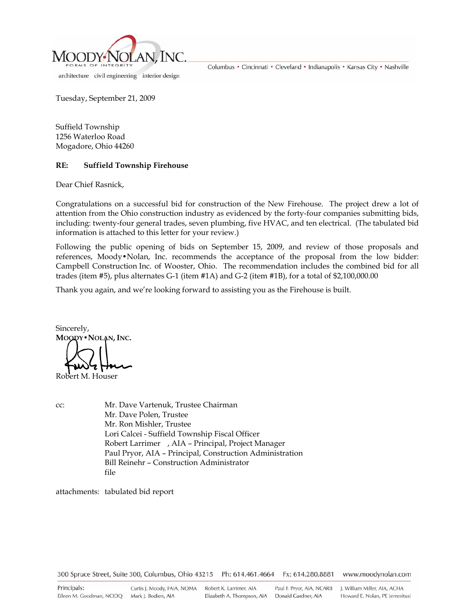

architecture civil engineering interior design

Columbus • Cincinnati • Cleveland • Indianapolis • Kansas City • Nashville

Tuesday, September 21, 2009

Suffield Township 1256 Waterloo Road Mogadore, Ohio 44260

## **RE: Suffield Township Firehouse**

Dear Chief Rasnick,

Congratulations on a successful bid for construction of the New Firehouse. The project drew a lot of attention from the Ohio construction industry as evidenced by the forty-four companies submitting bids, including: twenty-four general trades, seven plumbing, five HVAC, and ten electrical. (The tabulated bid information is attached to this letter for your review.)

Following the public opening of bids on September 15, 2009, and review of those proposals and references, Moody•Nolan, Inc. recommends the acceptance of the proposal from the low bidder: Campbell Construction Inc. of Wooster, Ohio. The recommendation includes the combined bid for all trades (item #5), plus alternates G-1 (item #1A) and G-2 (item #1B), for a total of \$2,100,000.00

Thank you again, and we're looking forward to assisting you as the Firehouse is built.

Sincerely, **MOODY•NOLAN, INC.**  Robert M. Houser

cc: Mr. Dave Vartenuk, Trustee Chairman Mr. Dave Polen, Trustee Mr. Ron Mishler, Trustee Lori Calcei - Suffield Township Fiscal Officer Robert Larrimer , AIA – Principal, Project Manager Paul Pryor, AIA – Principal, Construction Administration Bill Reinehr – Construction Administrator file

attachments: tabulated bid report

300 Spruce Street, Suite 300, Columbus, Ohio 43215 Ph: 614.461.4664 Fx: 614.280.8881 www.moodynolan.com